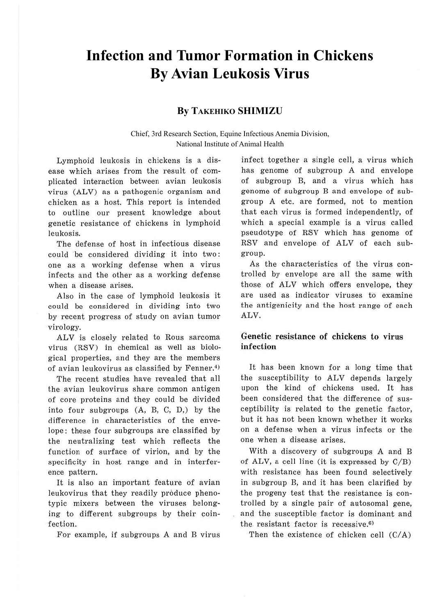# **Infection and Tumor Formation in Chickens By Avian Leukosis Virus**

## **By TAKEHIKO SHIMIZU**

Chief, 3rd Research Section, Equine Infectious Anemia Division, National Institute of Animal Health

Lymphoid leukosis in chickens is a disease which arises from the result of complicated interaction between avian leukosis virus (ALV) as a pathogenic organism and chicken as a host. This report is intended to outline our present knowledge about genetic resistance of chickens in lymphoid leukosis.

The defense of host in infectious disease could be considered dividing it into two: one as a working defense when a virus infects and the other as a working defense when a disease arises.

Also in the case of lymphoid leukosis it could be considered in dividing into two by recent progress of study on avian tumor virology.

ALV is closely related to Rous sarcoma virus (RSV) in chemical as well as biological properties, and they are the members of avian leukovirus as classified by Fenner.4)

The recent studies have revealed that all the avian leukovirus share common antigen of core proteins and they could be divided into four subgroups (A, B, C, D,) by the difference in characteristics of the enve~ lope; these four subgroups are classified by the neutralizing test which reflects the function of surface of virion, and by the specificity in host range and in interference pattern.

It is also an important feature of avian leukovirus that they readily produce phenotypic mixers between the viruses belonging to different subgroups by their coinfection.

For example, if subgroups A and B virus

infect together a single cell, a virus which has genome of subgroup A and envelope of subgroup B, and a virus which has genome of subgroup B and envelope of subgroup A etc. are formed, not to mention that each virus is formed independently, of which a special example is a virus called pseudotype of RSV which has genome of RSV and envelope of ALV of each subgroup.

As the characteristics of the virus controlled by envelope are all the same with those of ALV which offers envelope, they are used as indicator viruses to examine the antigenicity and the host range of each ALV.

## **Genetic resistance of chickens to virus infection**

It has been known for a long time that the susceptibility to ALV depends largely upon the kind of chickens used. It has been considered that the difference of susceptibility is related to the genetic factor, but it has not been known whether it works on a defense when a virus infects or the one when a disease arises.

With a discovery of subgroups A and B of ALV, a cell line (it is expressed by  $C/B$ ) with resistance has been found selectively in subgroup B, and it has been clarified by the progeny test that the resistance is controlled by a single pair of autosomal gene, and the susceptible factor is dominant and the resistant factor is recessive. $6$ )

Then the existence of chicken cell  $(C/A)$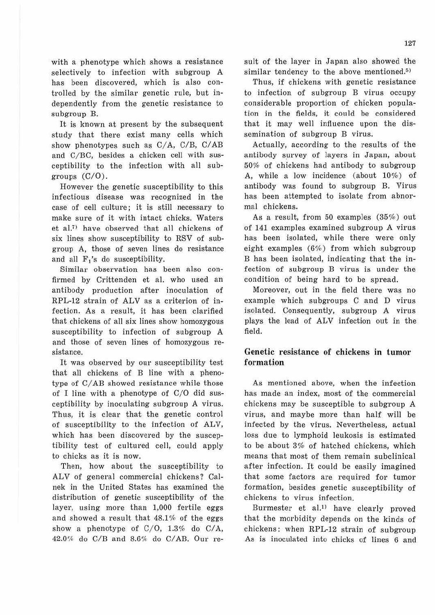It is known at present by the subsequent study that there exist many cells which show phenotypes such as C/A, C/B, C/AB and C/BC, besides a chicken cell with susceptibility to the infection with all subgroups  $(C/O)$ .

However the genetic susceptibility to this infectious disease was recognized in the case of cell culture; it is still necessary to make sure of it with intact chicks. Waters et al.<sup>7)</sup> have observed that all chickens of six lines show susceptibility to RSV of subgroup A, those of seven lines do resistance and all  $F_1$ 's do susceptibility.

Similar observation has been also confirmed by Crittenden et al. who used an antibody production after inoculation of RPL-12 strain of ALV as a criterion of infection. As a result, it has been clarified that chickens of all six lines show homozygous susceptibility to infection of subgroup A and those of seven lines of homozygous resistance.

It was observed by our susceptibility test that all chickens of B line with a phenotype of C/AB showed resistance while those of I line with a phenotype of C/0 did susceptibility by inoculating subgroup A virus. Thus, it is clear that the genetic control of susceptibility to the infection of ALV, which has been discovered by the susceptibility test of cultured cell, could apply to chicks as it is now.

Then, how about the susceptibility to ALV of general commercial chickens? Calnek in the United States has examined the distribution of genetic susceptibility of the layer, using more than 1,000 fertile eggs and showed a result that 48.1% of the eggs show a phenotype of C/O, 1.3% do C/A, 42.0% do C/B and 8.6% do C/AB. Our resuit of the layer in Japan also showed the similar tendency to the above mentioned.<sup>5)</sup>

Thus, if chickens with genetic resistance to infection of subgroup B virus occupy considerable proportion of chicken population in the fields, it could be considered that it may well influence upon the dissemination of subgroup B virus.

Actually, according to the results of the antibody survey of layers in Japan, about 50% of chickens had antibody to subgroup A, while a low incidence (about 10%) of antibody was found to subgroup B. Virus has been attempted to isolate from abnormal chickens.

As a result, from 50 examples  $(35%)$  out of 141 examples examined subgroup A virus has been isolated, while there were only eight examples (6%) from which subgroup B has been isolated, indicating that the infection of subgroup B virus is under the condition of being hard to be spread.

Moreover, out in the field there was no example which subgroups C and D virus isolated. Consequently, subgroup A virus plays the lead of ALV infection out in the field.

## Genetic resistance of chickens **in tumor**  formation

As mentioned above, when the infection has made an index, most of the commercial chickens may be susceptible to subgroup **A**  virus, and maybe more than half will be infected by the virus. Nevertheless, actual loss due to lymphoid leukosis is estimated to be about 3% of hatched chickens, which means that most of them remain subclinical after infection. It could be easily imagined that some factors are required for tumor formation, besides genetic susceptibility of chickens to virus infection.

Burmester et al.<sup>1)</sup> have clearly proved that the morbidity depends on the kinds of chickens: when RPL-12 strain of subgroup As is inoculated into chicks of lines 6 and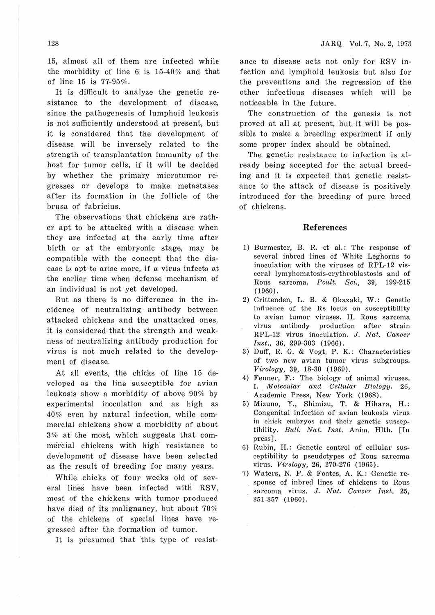15, almost all of them are infected while the morbidity of line 6 is 15-40% and that of line 15 is 77-95%.

It is difficult to analyze the genetic resistance to the development of disease, since the pathogenesis of lumphoid leukosis is not sufficiently understood at present, but it is considered that the development of disease will be inversely related to the strength of transplantation immunity of the host for tumor cells, if it will be decided by whether the primary microtumor regresses or develops to make metastases after its formation in the follicle of the brusa of fabricius.

The observations that chickens are rather apt to be attacked with a disease when they are infected at the early time after birth or at the embryonic stage, may be compatible with the concept that the disease is apt to arise more, if a virus infects at the earlier time when defense mechanism of an individual is not yet developed.

But as there is no difference in the incidence of neutralizing antibody between attacked chickens and the unattacked ones, it is considered that the strength and weakness of neutralizing antibody production for virus is not much related to the development of disease.

At all events, the chicks of line 15 developed as the line susceptible for avian leukosis show a morbidity of above 90% by experimental inoculation and as high as 40% even by natural infection, while commercial chickens show a morbidity of about 3% at the most, which suggests that commercial chickens with high' resistance to development of disease have been selected as the result of breeding for many years.

While chicks of four weeks old of several Jines have been infected with RSV, most of the chickens with tumor produced have died of its malignancy, but about 70% of the chickens of special lines have regressed after the formation of tumor.

It is presumed that this type of resist-

ance to disease acts not only for RSV infection and lymphoid leukosis but also for the preventions and the regression of the other infectious diseases which will be noticeable in the future.

The construction of the genesis is not proved at all at present, but it will be possible to make a breeding experiment if only some proper index should be obtained.

The genetic resistance to infection is already being accepted for the actual breeding and it is expected that genetic resistance to the attack of disease is positively introduced for the breeding of pure breed of chickens.

### **References**

- 1) Burmester, B. R. et al.: The response of several inbred lines of White Leghorns to inoculation with the viruses of RPL-12 visceral lymphomatosis-erythroblastosis and of Rous sarcoma. *Poult. Sci.,* 39, 199-215 (1960).
- 2) Crittenden, L. B. & Okazaki, W.: Genetic influence of the Rs locus on susceptibility to avian tumor viruses. II. Rous sarcoma virus antibody production after strain RPL-12 virus inoculation. J. *Nat. Cancer Inst.,* 36, 299-303 (1966).
- 3) Duff, R. G. & Vogt, P. K.: Characteristics of two new avian tumor virus subgroups. *Virology*, 39, 18-30 (1969).
- 4) Fenner, F.: The biology of animal viruses. I. *Molecular and Cellular Biology.* 26, Academic Press, New York (1968).
- 5) Mizuno, Y., Shimizu, T. & Hihara, H.: Congenital infection of avian leukosis virus in chick embryos and their genetic susceptibility. *Bull. Nat. Inst.* Anim. Hlth. [In press].
- 6) Rubin, H.: Genetic control of cellular susceptibility to pseudotypes of Rous sarcoma virus. *Virology,* **26,** 270-276 ( 1965).
- 7) Waters, N. F. & Fontes, A. K.: Genetic response of inbred lines of chickens to Rous sarcoma virus. J. Nat. Cancer Inst. 25, 351-357 (1960) .